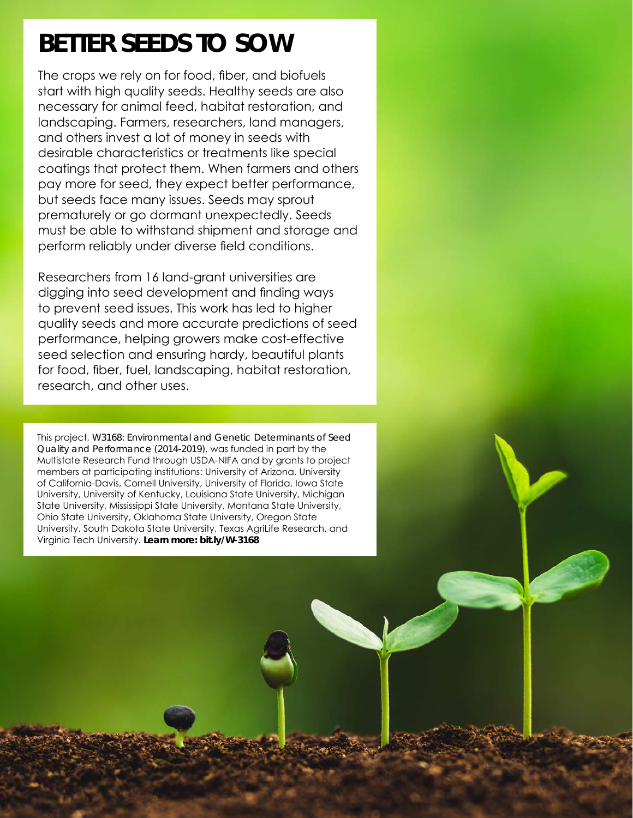## **BETTER SEEDS TO SOW**

The crops we rely on for food, fiber, and biofuels start with high quality seeds. Healthy seeds are also necessary for animal feed, habitat restoration, and landscaping. Farmers, researchers, land managers, and others invest a lot of money in seeds with desirable characteristics or treatments like special coatings that protect them. When farmers and others pay more for seed, they expect better performance, but seeds face many issues. Seeds may sprout prematurely or go dormant unexpectedly. Seeds must be able to withstand shipment and storage and perform reliably under diverse field conditions.

Researchers from 16 land-grant universities are digging into seed development and finding ways to prevent seed issues. This work has led to higher quality seeds and more accurate predictions of seed performance, helping growers make cost-effective seed selection and ensuring hardy, beautiful plants for food, fiber, fuel, landscaping, habitat restoration, research, and other uses.

This project, *W3168: Environmental and Genetic Determinants of Seed Quality and Performance (2014-2019)*, was funded in part by the Multistate Research Fund through USDA-NIFA and by grants to project members at participating institutions: University of Arizona, University of California-Davis, Cornell University, University of Florida, Iowa State University, University of Kentucky, Louisiana State University, Michigan State University, Mississippi State University, Montana State University, Ohio State University, Oklahoma State University, Oregon State University, South Dakota State University, Texas AgriLife Research, and Virginia Tech University. **Learn more:** *[bit.ly/W-3168](https://bit.ly/W-3168)*